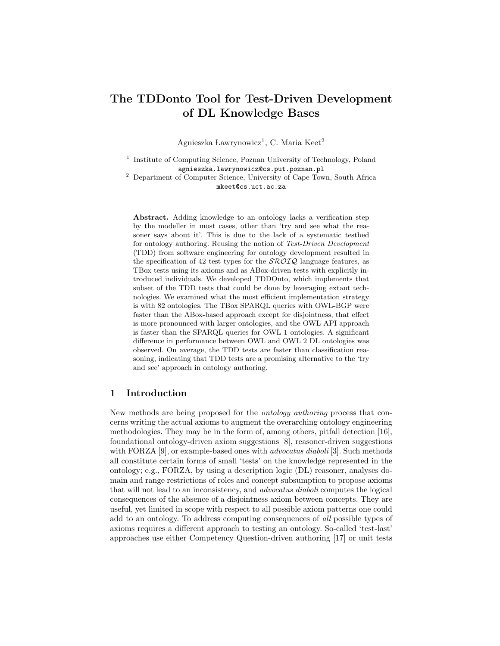# The TDDonto Tool for Test-Driven Development of DL Knowledge Bases

Agnieszka Lawrynowicz<sup>1</sup>, C. Maria Keet<sup>2</sup>

<sup>1</sup> Institute of Computing Science, Poznan University of Technology, Poland agnieszka.lawrynowicz@cs.put.poznan.pl

<sup>2</sup> Department of Computer Science, University of Cape Town, South Africa mkeet@cs.uct.ac.za

Abstract. Adding knowledge to an ontology lacks a verification step by the modeller in most cases, other than 'try and see what the reasoner says about it'. This is due to the lack of a systematic testbed for ontology authoring. Reusing the notion of Test-Driven Development (TDD) from software engineering for ontology development resulted in the specification of 42 test types for the  $\mathcal{SROIQ}$  language features, as TBox tests using its axioms and as ABox-driven tests with explicitly introduced individuals. We developed TDDOnto, which implements that subset of the TDD tests that could be done by leveraging extant technologies. We examined what the most efficient implementation strategy is with 82 ontologies. The TBox SPARQL queries with OWL-BGP were faster than the ABox-based approach except for disjointness, that effect is more pronounced with larger ontologies, and the OWL API approach is faster than the SPARQL queries for OWL 1 ontologies. A significant difference in performance between OWL and OWL 2 DL ontologies was observed. On average, the TDD tests are faster than classification reasoning, indicating that TDD tests are a promising alternative to the 'try and see' approach in ontology authoring.

# 1 Introduction

New methods are being proposed for the ontology authoring process that concerns writing the actual axioms to augment the overarching ontology engineering methodologies. They may be in the form of, among others, pitfall detection [16], foundational ontology-driven axiom suggestions [8], reasoner-driven suggestions with FORZA [9], or example-based ones with *advocatus diaboli* [3]. Such methods all constitute certain forms of small 'tests' on the knowledge represented in the ontology; e.g., FORZA, by using a description logic (DL) reasoner, analyses domain and range restrictions of roles and concept subsumption to propose axioms that will not lead to an inconsistency, and advocatus diaboli computes the logical consequences of the absence of a disjointness axiom between concepts. They are useful, yet limited in scope with respect to all possible axiom patterns one could add to an ontology. To address computing consequences of all possible types of axioms requires a different approach to testing an ontology. So-called 'test-last' approaches use either Competency Question-driven authoring [17] or unit tests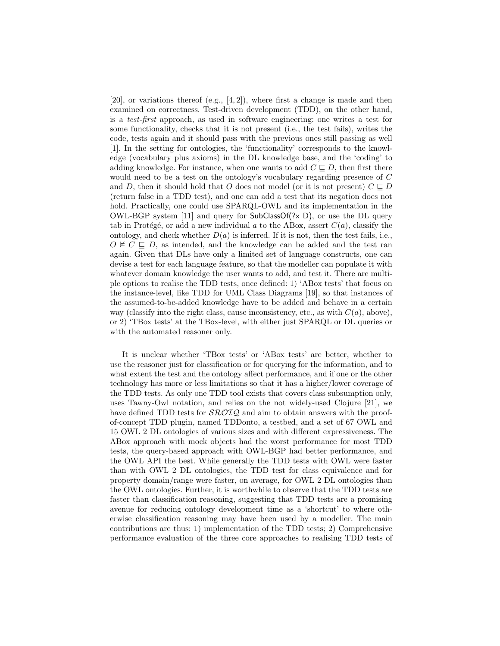$[20]$ , or variations thereof  $(e.g., [4,2])$ , where first a change is made and then examined on correctness. Test-driven development (TDD), on the other hand, is a test-first approach, as used in software engineering: one writes a test for some functionality, checks that it is not present (i.e., the test fails), writes the code, tests again and it should pass with the previous ones still passing as well [1]. In the setting for ontologies, the 'functionality' corresponds to the knowledge (vocabulary plus axioms) in the DL knowledge base, and the 'coding' to adding knowledge. For instance, when one wants to add  $C \sqsubset D$ , then first there would need to be a test on the ontology's vocabulary regarding presence of C and D, then it should hold that O does not model (or it is not present)  $C \sqsubset D$ (return false in a TDD test), and one can add a test that its negation does not hold. Practically, one could use SPARQL-OWL and its implementation in the OWL-BGP system [11] and query for  $SubClassOf(?x D)$ , or use the DL query tab in Protégé, or add a new individual a to the ABox, assert  $C(a)$ , classify the ontology, and check whether  $D(a)$  is inferred. If it is not, then the test fails, i.e.,  $O \not\vdash C \sqsubseteq D$ , as intended, and the knowledge can be added and the test ran again. Given that DLs have only a limited set of language constructs, one can devise a test for each language feature, so that the modeller can populate it with whatever domain knowledge the user wants to add, and test it. There are multiple options to realise the TDD tests, once defined: 1) 'ABox tests' that focus on the instance-level, like TDD for UML Class Diagrams [19], so that instances of the assumed-to-be-added knowledge have to be added and behave in a certain way (classify into the right class, cause inconsistency, etc., as with  $C(a)$ , above), or 2) 'TBox tests' at the TBox-level, with either just SPARQL or DL queries or with the automated reasoner only.

It is unclear whether 'TBox tests' or 'ABox tests' are better, whether to use the reasoner just for classification or for querying for the information, and to what extent the test and the ontology affect performance, and if one or the other technology has more or less limitations so that it has a higher/lower coverage of the TDD tests. As only one TDD tool exists that covers class subsumption only, uses Tawny-Owl notation, and relies on the not widely-used Clojure [21], we have defined TDD tests for  $\mathcal{SROIQ}$  and aim to obtain answers with the proofof-concept TDD plugin, named TDDonto, a testbed, and a set of 67 OWL and 15 OWL 2 DL ontologies of various sizes and with different expressiveness. The ABox approach with mock objects had the worst performance for most TDD tests, the query-based approach with OWL-BGP had better performance, and the OWL API the best. While generally the TDD tests with OWL were faster than with OWL 2 DL ontologies, the TDD test for class equivalence and for property domain/range were faster, on average, for OWL 2 DL ontologies than the OWL ontologies. Further, it is worthwhile to observe that the TDD tests are faster than classification reasoning, suggesting that TDD tests are a promising avenue for reducing ontology development time as a 'shortcut' to where otherwise classification reasoning may have been used by a modeller. The main contributions are thus: 1) implementation of the TDD tests; 2) Comprehensive performance evaluation of the three core approaches to realising TDD tests of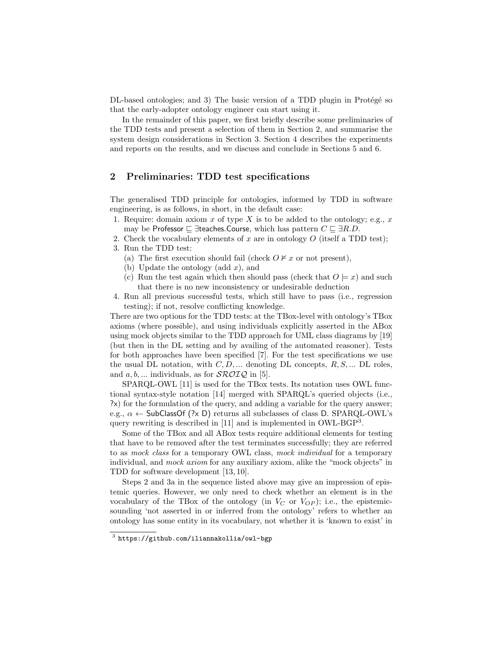DL-based ontologies; and 3) The basic version of a TDD plugin in Protégé so that the early-adopter ontology engineer can start using it.

In the remainder of this paper, we first briefly describe some preliminaries of the TDD tests and present a selection of them in Section 2, and summarise the system design considerations in Section 3. Section 4 describes the experiments and reports on the results, and we discuss and conclude in Sections 5 and 6.

# 2 Preliminaries: TDD test specifications

The generalised TDD principle for ontologies, informed by TDD in software engineering, is as follows, in short, in the default case:

- 1. Require: domain axiom x of type X is to be added to the ontology; e.g., x may be Professor  $\subseteq \exists$ teaches.Course, which has pattern  $C \sqsubseteq \exists R.D$ .
- 2. Check the vocabulary elements of x are in ontology  $O$  (itself a TDD test); 3. Run the TDD test:
	- (a) The first execution should fail (check  $O \not\vdash x$  or not present),
	- (b) Update the ontology (add  $x$ ), and
	- (c) Run the test again which then should pass (check that  $O \models x$ ) and such that there is no new inconsistency or undesirable deduction
- 4. Run all previous successful tests, which still have to pass (i.e., regression testing); if not, resolve conflicting knowledge.

There are two options for the TDD tests: at the TBox-level with ontology's TBox axioms (where possible), and using individuals explicitly asserted in the ABox using mock objects similar to the TDD approach for UML class diagrams by [19] (but then in the DL setting and by availing of the automated reasoner). Tests for both approaches have been specified [7]. For the test specifications we use the usual DL notation, with  $C, D, \ldots$  denoting DL concepts,  $R, S, \ldots$  DL roles, and  $a, b, \ldots$  individuals, as for  $\mathcal{SROIQ}$  in [5].

SPARQL-OWL [11] is used for the TBox tests. Its notation uses OWL functional syntax-style notation [14] merged with SPARQL's queried objects (i.e., ?x) for the formulation of the query, and adding a variable for the query answer; e.g.,  $\alpha \leftarrow$  SubClassOf (?x D) returns all subclasses of class D. SPARQL-OWL's query rewriting is described in [11] and is implemented in OWL-BGP<sup>3</sup>.

Some of the TBox and all ABox tests require additional elements for testing that have to be removed after the test terminates successfully; they are referred to as mock class for a temporary OWL class, mock individual for a temporary individual, and *mock axiom* for any auxiliary axiom, alike the "mock objects" in TDD for software development [13, 10].

Steps 2 and 3a in the sequence listed above may give an impression of epistemic queries. However, we only need to check whether an element is in the vocabulary of the TBox of the ontology (in  $V_C$  or  $V_{OP}$ ); i.e., the epistemicsounding 'not asserted in or inferred from the ontology' refers to whether an ontology has some entity in its vocabulary, not whether it is 'known to exist' in

 $^3$  https://github.com/iliannakollia/owl-bgp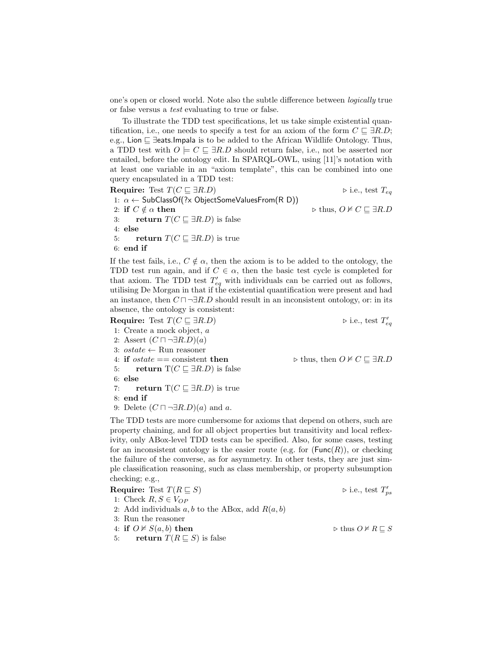one's open or closed world. Note also the subtle difference between logically true or false versus a test evaluating to true or false.

To illustrate the TDD test specifications, let us take simple existential quantification, i.e., one needs to specify a test for an axiom of the form  $C \subseteq \exists R.D;$ e.g., Lion  $\sqsubseteq$  ∃eats.Impala is to be added to the African Wildlife Ontology. Thus, a TDD test with  $O \models C \sqsubseteq \exists R.D$  should return false, i.e., not be asserted nor entailed, before the ontology edit. In SPARQL-OWL, using [11]'s notation with at least one variable in an "axiom template", this can be combined into one query encapsulated in a TDD test:

Require: Test  $T(C \sqsubseteq \exists R.D)$  .  $\triangleright$  i.e., test  $T_{eq}$ 1:  $\alpha \leftarrow$  SubClassOf(?x ObjectSomeValuesFrom(R D)) 2: if  $C \notin \alpha$  then  $\triangleright$  thus,  $O \not\vdash C \sqsubseteq \exists R.D$ 3: return  $T(C \sqsubseteq \exists R.D)$  is false 4: else 5: return  $T(C \sqsubseteq \exists R.D)$  is true 6: end if

If the test fails, i.e.,  $C \notin \alpha$ , then the axiom is to be added to the ontology, the TDD test run again, and if  $C \in \alpha$ , then the basic test cycle is completed for that axiom. The TDD test  $T'_{eq}$  with individuals can be carried out as follows, utilising De Morgan in that if the existential quantification were present and had an instance, then  $C \sqcap \neg \exists R.D$  should result in an inconsistent ontology, or: in its absence, the ontology is consistent:

Require: Test  $T(C \sqsubseteq \exists R.D)$ 

v<br>eq

1: Create a mock object, a 2: Assert  $(C \sqcap \neg \exists R.D)(a)$ 3:  $\textit{ostate} \gets \text{Run reasoner}$ 4: if  $\text{ }ostate == \text{ }consistent \text{ }then \text{ } \text{ } \text{ } \triangleright \text{ } thus, \text{ } then \text{ } \text{ }O \not\models C \sqsubseteq \exists R.D$ 5: return  $T(C \sqsubseteq \exists R.D)$  is false 6: else 7: return  $T(C \sqsubseteq \exists R.D)$  is true 8: end if 9: Delete  $(C \sqcap \neg \exists R.D)(a)$  and a.

The TDD tests are more cumbersome for axioms that depend on others, such are property chaining, and for all object properties but transitivity and local reflexivity, only ABox-level TDD tests can be specified. Also, for some cases, testing for an inconsistent ontology is the easier route (e.g. for  $(Func(R))$ , or checking the failure of the converse, as for asymmetry. In other tests, they are just simple classification reasoning, such as class membership, or property subsumption checking; e.g.,

Require: Test  $T(R \sqsubseteq S)$ "<br>ps 1: Check  $R, S \in V_{OP}$ 2: Add individuals  $a, b$  to the ABox, add  $R(a, b)$ 3: Run the reasoner 4: if  $O \not\vdash S(a, b)$  then  $\triangleright$  thus  $O \not\vdash R \sqsubseteq S$ 5: return  $T(R \sqsubseteq S)$  is false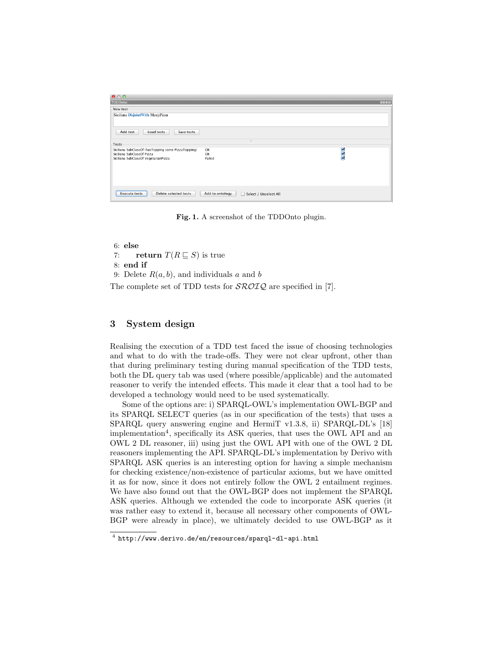| 000                                                                                                                       |                                               |         |
|---------------------------------------------------------------------------------------------------------------------------|-----------------------------------------------|---------|
| TDDOnto:                                                                                                                  |                                               | $B = B$ |
| New test                                                                                                                  |                                               |         |
| Siciliana Disjoint With MeatyPizza                                                                                        |                                               |         |
| Add test<br>Load tests<br>Save tests                                                                                      | ×.                                            |         |
| Tests                                                                                                                     |                                               |         |
| Siciliana SubClassOf (hasTopping some PizzaTopping)<br>Siciliana SubClassOf Pizza<br>Siciliana SubClassOf VegetarianPizza | OK<br>OK<br>Failed                            | 222     |
| Delete selected tests<br><b>Execute tests</b>                                                                             | Add to ontology<br>Select / Unselect All<br>H |         |

Fig. 1. A screenshot of the TDDOnto plugin.

6: else 7: return  $T(R \sqsubseteq S)$  is true 8: end if 9: Delete  $R(a, b)$ , and individuals a and b The complete set of TDD tests for  $\mathcal{SROLQ}$  are specified in [7].

# 3 System design

Realising the execution of a TDD test faced the issue of choosing technologies and what to do with the trade-offs. They were not clear upfront, other than that during preliminary testing during manual specification of the TDD tests, both the DL query tab was used (where possible/applicable) and the automated reasoner to verify the intended effects. This made it clear that a tool had to be developed a technology would need to be used systematically.

Some of the options are: i) SPARQL-OWL's implementation OWL-BGP and its SPARQL SELECT queries (as in our specification of the tests) that uses a SPARQL query answering engine and HermiT v1.3.8, ii) SPARQL-DL's [18] implementation<sup>4</sup>, specifically its ASK queries, that uses the OWL API and an OWL 2 DL reasoner, iii) using just the OWL API with one of the OWL 2 DL reasoners implementing the API. SPARQL-DL's implementation by Derivo with SPARQL ASK queries is an interesting option for having a simple mechanism for checking existence/non-existence of particular axioms, but we have omitted it as for now, since it does not entirely follow the OWL 2 entailment regimes. We have also found out that the OWL-BGP does not implement the SPARQL ASK queries. Although we extended the code to incorporate ASK queries (it was rather easy to extend it, because all necessary other components of OWL-BGP were already in place), we ultimately decided to use OWL-BGP as it

<sup>4</sup> http://www.derivo.de/en/resources/sparql-dl-api.html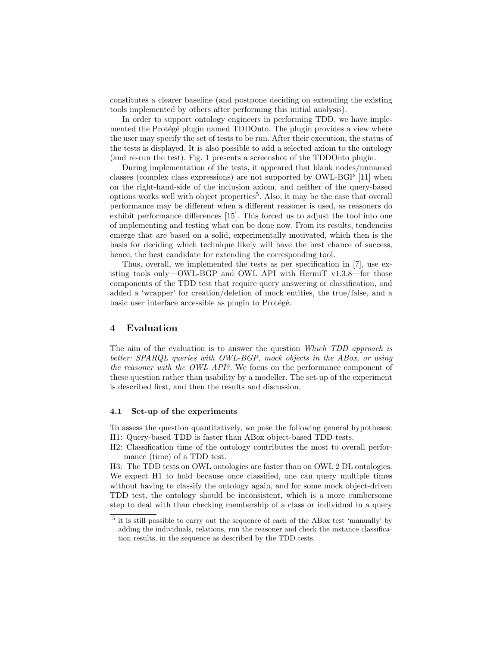constitutes a clearer baseline (and postpone deciding on extending the existing tools implemented by others after performing this initial analysis).

In order to support ontology engineers in performing TDD, we have implemented the Protégé plugin named TDDOnto. The plugin provides a view where the user may specify the set of tests to be run. After their execution, the status of the tests is displayed. It is also possible to add a selected axiom to the ontology (and re-run the test). Fig. 1 presents a screenshot of the TDDOnto plugin.

During implementation of the tests, it appeared that blank nodes/unnamed classes (complex class expressions) are not supported by OWL-BGP [11] when on the right-hand-side of the inclusion axiom, and neither of the query-based options works well with object properties<sup>5</sup>. Also, it may be the case that overall performance may be different when a different reasoner is used, as reasoners do exhibit performance differences [15]. This forced us to adjust the tool into one of implementing and testing what can be done now. From its results, tendencies emerge that are based on a solid, experimentally motivated, which then is the basis for deciding which technique likely will have the best chance of success, hence, the best candidate for extending the corresponding tool.

Thus, overall, we implemented the tests as per specification in [7], use existing tools only—OWL-BGP and OWL API with HermiT v1.3.8—for those components of the TDD test that require query answering or classification, and added a 'wrapper' for creation/deletion of mock entities, the true/false, and a basic user interface accessible as plugin to Protégé.

#### 4 Evaluation

The aim of the evaluation is to answer the question Which TDD approach is better: SPARQL queries with OWL-BGP, mock objects in the ABox, or using the reasoner with the OWL API?. We focus on the performance component of these question rather than usability by a modeller. The set-up of the experiment is described first, and then the results and discussion.

#### 4.1 Set-up of the experiments

To assess the question quantitatively, we pose the following general hypotheses: H1: Query-based TDD is faster than ABox object-based TDD tests.

H2: Classification time of the ontology contributes the most to overall performance (time) of a TDD test.

H3: The TDD tests on OWL ontologies are faster than on OWL 2 DL ontologies. We expect H1 to hold because once classified, one can query multiple times without having to classify the ontology again, and for some mock object-driven TDD test, the ontology should be inconsistent, which is a more cumbersome step to deal with than checking membership of a class or individual in a query

<sup>&</sup>lt;sup>5</sup> it is still possible to carry out the sequence of each of the ABox test 'manually' by adding the individuals, relations, run the reasoner and check the instance classification results, in the sequence as described by the TDD tests.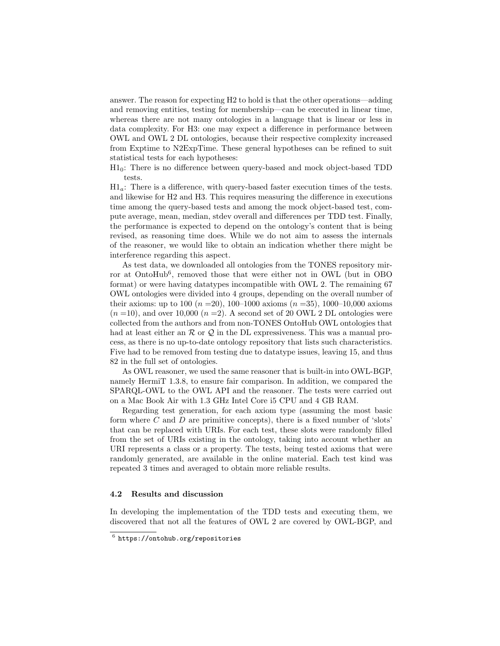answer. The reason for expecting H2 to hold is that the other operations—adding and removing entities, testing for membership—can be executed in linear time, whereas there are not many ontologies in a language that is linear or less in data complexity. For H3: one may expect a difference in performance between OWL and OWL 2 DL ontologies, because their respective complexity increased from Exptime to N2ExpTime. These general hypotheses can be refined to suit statistical tests for each hypotheses:

 $H1<sub>0</sub>$ : There is no difference between query-based and mock object-based TDD tests.

 $\text{H1}_a$ : There is a difference, with query-based faster execution times of the tests. and likewise for H2 and H3. This requires measuring the difference in executions time among the query-based tests and among the mock object-based test, compute average, mean, median, stdev overall and differences per TDD test. Finally, the performance is expected to depend on the ontology's content that is being revised, as reasoning time does. While we do not aim to assess the internals of the reasoner, we would like to obtain an indication whether there might be interference regarding this aspect.

As test data, we downloaded all ontologies from the TONES repository mirror at OntoHub<sup>6</sup>, removed those that were either not in OWL (but in OBO format) or were having datatypes incompatible with OWL 2. The remaining 67 OWL ontologies were divided into 4 groups, depending on the overall number of their axioms: up to 100 ( $n = 20$ ), 100–1000 axioms ( $n = 35$ ), 1000–10,000 axioms  $(n = 10)$ , and over 10,000  $(n = 2)$ . A second set of 20 OWL 2 DL ontologies were collected from the authors and from non-TONES OntoHub OWL ontologies that had at least either an  $R$  or  $Q$  in the DL expressiveness. This was a manual process, as there is no up-to-date ontology repository that lists such characteristics. Five had to be removed from testing due to datatype issues, leaving 15, and thus 82 in the full set of ontologies.

As OWL reasoner, we used the same reasoner that is built-in into OWL-BGP, namely HermiT 1.3.8, to ensure fair comparison. In addition, we compared the SPARQL-OWL to the OWL API and the reasoner. The tests were carried out on a Mac Book Air with 1.3 GHz Intel Core i5 CPU and 4 GB RAM.

Regarding test generation, for each axiom type (assuming the most basic form where  $C$  and  $D$  are primitive concepts), there is a fixed number of 'slots' that can be replaced with URIs. For each test, these slots were randomly filled from the set of URIs existing in the ontology, taking into account whether an URI represents a class or a property. The tests, being tested axioms that were randomly generated, are available in the online material. Each test kind was repeated 3 times and averaged to obtain more reliable results.

#### 4.2 Results and discussion

In developing the implementation of the TDD tests and executing them, we discovered that not all the features of OWL 2 are covered by OWL-BGP, and

 $^6$  https://ontohub.org/repositories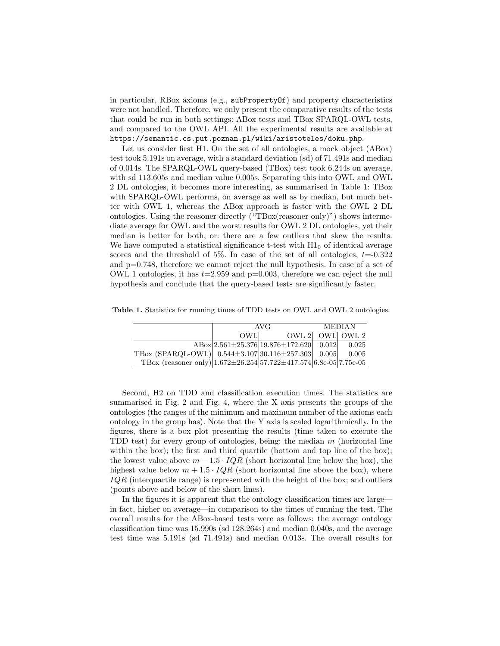in particular, RBox axioms (e.g., subPropertyOf) and property characteristics were not handled. Therefore, we only present the comparative results of the tests that could be run in both settings: ABox tests and TBox SPARQL-OWL tests, and compared to the OWL API. All the experimental results are available at https://semantic.cs.put.poznan.pl/wiki/aristoteles/doku.php.

Let us consider first H1. On the set of all ontologies, a mock object (ABox) test took 5.191s on average, with a standard deviation (sd) of 71.491s and median of 0.014s. The SPARQL-OWL query-based (TBox) test took 6.244s on average, with sd 113.605s and median value 0.005s. Separating this into OWL and OWL 2 DL ontologies, it becomes more interesting, as summarised in Table 1: TBox with SPARQL-OWL performs, on average as well as by median, but much better with OWL 1, whereas the ABox approach is faster with the OWL 2 DL ontologies. Using the reasoner directly ("TBox(reasoner only)") shows intermediate average for OWL and the worst results for OWL 2 DL ontologies, yet their median is better for both, or: there are a few outliers that skew the results. We have computed a statistical significance t-test with  $H1<sub>0</sub>$  of identical average scores and the threshold of 5%. In case of the set of all ontologies,  $t = 0.322$ and p=0.748, therefore we cannot reject the null hypothesis. In case of a set of OWL 1 ontologies, it has  $t=2.959$  and  $p=0.003$ , therefore we can reject the null hypothesis and conclude that the query-based tests are significantly faster.

Table 1. Statistics for running times of TDD tests on OWL and OWL 2 ontologies.

|                                                                                            | AVG  |                                                                      | <b>MEDIAN</b> |                 |
|--------------------------------------------------------------------------------------------|------|----------------------------------------------------------------------|---------------|-----------------|
|                                                                                            | OWL. |                                                                      |               | OWL 2 OWL OWL 2 |
|                                                                                            |      | $\text{ABox}\left 2.561\pm25.376\right 19.876\pm172.620$ 0.012 0.025 |               |                 |
| TBox (SPARQL-OWL) $\vert 0.544 \pm 3.107 \vert 30.116 \pm 257.303 \vert 0.005 \vert 0.005$ |      |                                                                      |               |                 |
| TBox (reasoner only) $ 1.672 \pm 26.254 57.722 \pm 417.574 6.8e-05 7.75e-05 $              |      |                                                                      |               |                 |

Second, H2 on TDD and classification execution times. The statistics are summarised in Fig. 2 and Fig. 4, where the X axis presents the groups of the ontologies (the ranges of the minimum and maximum number of the axioms each ontology in the group has). Note that the Y axis is scaled logarithmically. In the figures, there is a box plot presenting the results (time taken to execute the TDD test) for every group of ontologies, being: the median  $m$  (horizontal line within the box); the first and third quartile (bottom and top line of the box); the lowest value above  $m - 1.5 \cdot IQR$  (short horizontal line below the box), the highest value below  $m + 1.5 \cdot IQR$  (short horizontal line above the box), where IQR (interquartile range) is represented with the height of the box; and outliers (points above and below of the short lines).

In the figures it is apparent that the ontology classification times are large in fact, higher on average—in comparison to the times of running the test. The overall results for the ABox-based tests were as follows: the average ontology classification time was 15.990s (sd 128.264s) and median 0.040s, and the average test time was 5.191s (sd 71.491s) and median 0.013s. The overall results for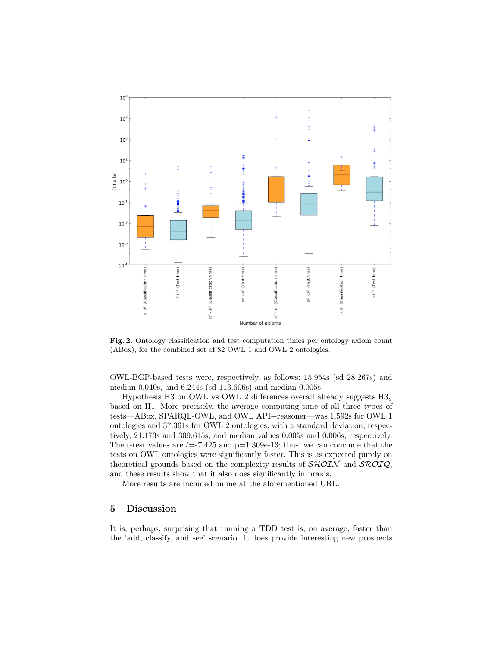

Fig. 2. Ontology classification and test computation times per ontology axiom count (ABox), for the combined set of 82 OWL 1 and OWL 2 ontologies.

OWL-BGP-based tests were, respectively, as follows: 15.954s (sd 28.267s) and median 0.040s, and 6.244s (sd 113.606s) and median 0.005s.

Hypothesis H3 on OWL vs OWL 2 differences overall already suggests  $H3_a$ based on H1. More precisely, the average computing time of all three types of tests—ABox, SPARQL-OWL, and OWL API+reasoner—was 1.592s for OWL 1 ontologies and 37.361s for OWL 2 ontologies, with a standard deviation, respectively, 21.173s and 309.615s, and median values 0.005s and 0.006s, respectively. The t-test values are  $t=-7.425$  and  $p=1.309e-13$ ; thus, we can conclude that the tests on OWL ontologies were significantly faster. This is as expected purely on theoretical grounds based on the complexity results of  $\mathcal{SHOLN}$  and  $\mathcal{SROLQ}$ , and these results show that it also does significantly in praxis.

More results are included online at the aforementioned URL.

# 5 Discussion

It is, perhaps, surprising that running a TDD test is, on average, faster than the 'add, classify, and see' scenario. It does provide interesting new prospects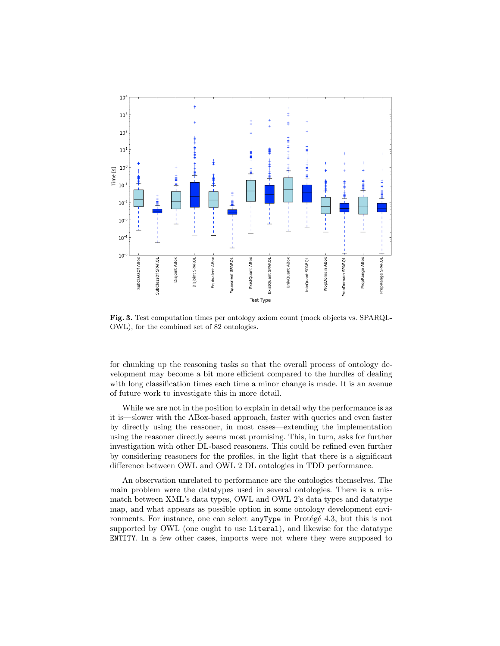

Fig. 3. Test computation times per ontology axiom count (mock objects vs. SPARQL-OWL), for the combined set of 82 ontologies.

for chunking up the reasoning tasks so that the overall process of ontology development may become a bit more efficient compared to the hurdles of dealing with long classification times each time a minor change is made. It is an avenue of future work to investigate this in more detail.

While we are not in the position to explain in detail why the performance is as it is—slower with the ABox-based approach, faster with queries and even faster by directly using the reasoner, in most cases—extending the implementation using the reasoner directly seems most promising. This, in turn, asks for further investigation with other DL-based reasoners. This could be refined even further by considering reasoners for the profiles, in the light that there is a significant difference between OWL and OWL 2 DL ontologies in TDD performance.

An observation unrelated to performance are the ontologies themselves. The main problem were the datatypes used in several ontologies. There is a mismatch between XML's data types, OWL and OWL 2's data types and datatype map, and what appears as possible option in some ontology development environments. For instance, one can select  $\text{anyType}$  in Protégé 4.3, but this is not supported by OWL (one ought to use Literal), and likewise for the datatype ENTITY. In a few other cases, imports were not where they were supposed to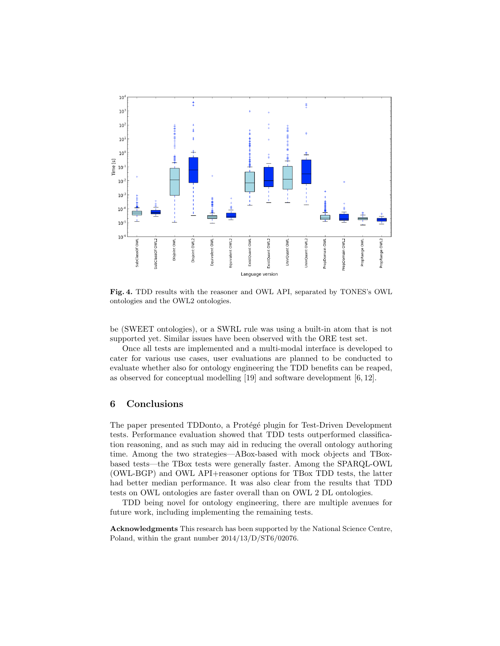

Fig. 4. TDD results with the reasoner and OWL API, separated by TONES's OWL ontologies and the OWL2 ontologies.

be (SWEET ontologies), or a SWRL rule was using a built-in atom that is not supported yet. Similar issues have been observed with the ORE test set.

Once all tests are implemented and a multi-modal interface is developed to cater for various use cases, user evaluations are planned to be conducted to evaluate whether also for ontology engineering the TDD benefits can be reaped, as observed for conceptual modelling [19] and software development [6, 12].

### 6 Conclusions

The paper presented TDDonto, a Protégé plugin for Test-Driven Development tests. Performance evaluation showed that TDD tests outperformed classification reasoning, and as such may aid in reducing the overall ontology authoring time. Among the two strategies—ABox-based with mock objects and TBoxbased tests—the TBox tests were generally faster. Among the SPARQL-OWL (OWL-BGP) and OWL API+reasoner options for TBox TDD tests, the latter had better median performance. It was also clear from the results that TDD tests on OWL ontologies are faster overall than on OWL 2 DL ontologies.

TDD being novel for ontology engineering, there are multiple avenues for future work, including implementing the remaining tests.

Acknowledgments This research has been supported by the National Science Centre, Poland, within the grant number 2014/13/D/ST6/02076.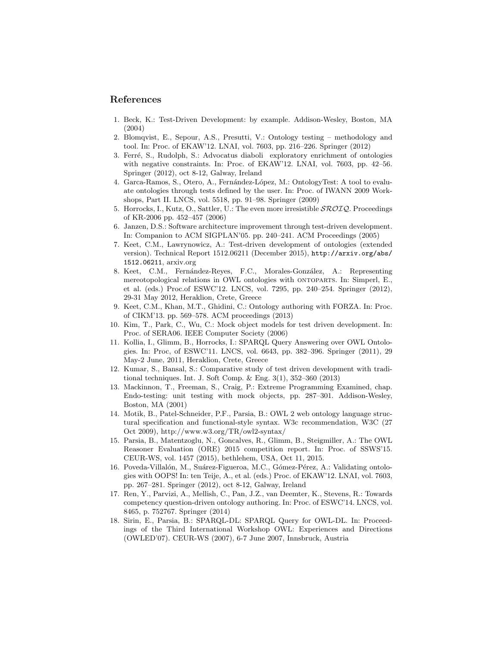# References

- 1. Beck, K.: Test-Driven Development: by example. Addison-Wesley, Boston, MA (2004)
- 2. Blomqvist, E., Sepour, A.S., Presutti, V.: Ontology testing methodology and tool. In: Proc. of EKAW'12. LNAI, vol. 7603, pp. 216–226. Springer (2012)
- 3. Ferré, S., Rudolph, S.: Advocatus diaboli exploratory enrichment of ontologies with negative constraints. In: Proc. of EKAW'12. LNAI, vol. 7603, pp. 42–56. Springer (2012), oct 8-12, Galway, Ireland
- 4. Garca-Ramos, S., Otero, A., Fernández-López, M.: OntologyTest: A tool to evaluate ontologies through tests defined by the user. In: Proc. of IWANN 2009 Workshops, Part II. LNCS, vol. 5518, pp. 91–98. Springer (2009)
- 5. Horrocks, I., Kutz, O., Sattler, U.: The even more irresistible  $\mathcal{SROLQ}$ . Proceedings of KR-2006 pp. 452–457 (2006)
- 6. Janzen, D.S.: Software architecture improvement through test-driven development. In: Companion to ACM SIGPLAN'05. pp. 240–241. ACM Proceedings (2005)
- 7. Keet, C.M., Lawrynowicz, A.: Test-driven development of ontologies (extended version). Technical Report 1512.06211 (December 2015), http://arxiv.org/abs/ 1512.06211, arxiv.org
- 8. Keet, C.M., Fernández-Reyes, F.C., Morales-González, A.: Representing mereotopological relations in OWL ontologies with ontoparts. In: Simperl, E., et al. (eds.) Proc.of ESWC'12. LNCS, vol. 7295, pp. 240–254. Springer (2012), 29-31 May 2012, Heraklion, Crete, Greece
- 9. Keet, C.M., Khan, M.T., Ghidini, C.: Ontology authoring with FORZA. In: Proc. of CIKM'13. pp. 569–578. ACM proceedings (2013)
- 10. Kim, T., Park, C., Wu, C.: Mock object models for test driven development. In: Proc. of SERA06. IEEE Computer Society (2006)
- 11. Kollia, I., Glimm, B., Horrocks, I.: SPARQL Query Answering over OWL Ontologies. In: Proc, of ESWC'11. LNCS, vol. 6643, pp. 382–396. Springer (2011), 29 May-2 June, 2011, Heraklion, Crete, Greece
- 12. Kumar, S., Bansal, S.: Comparative study of test driven development with traditional techniques. Int. J. Soft Comp. & Eng. 3(1), 352–360 (2013)
- 13. Mackinnon, T., Freeman, S., Craig, P.: Extreme Programming Examined, chap. Endo-testing: unit testing with mock objects, pp. 287–301. Addison-Wesley, Boston, MA (2001)
- 14. Motik, B., Patel-Schneider, P.F., Parsia, B.: OWL 2 web ontology language structural specification and functional-style syntax. W3c recommendation, W3C (27 Oct 2009), http://www.w3.org/TR/owl2-syntax/
- 15. Parsia, B., Matentzoglu, N., Goncalves, R., Glimm, B., Steigmiller, A.: The OWL Reasoner Evaluation (ORE) 2015 competition report. In: Proc. of SSWS'15. CEUR-WS, vol. 1457 (2015), bethlehem, USA, Oct 11, 2015.
- 16. Poveda-Villalón, M., Suárez-Figueroa, M.C., Gómez-Pérez, A.: Validating ontologies with OOPS! In: ten Teije, A., et al. (eds.) Proc. of EKAW'12. LNAI, vol. 7603, pp. 267–281. Springer (2012), oct 8-12, Galway, Ireland
- 17. Ren, Y., Parvizi, A., Mellish, C., Pan, J.Z., van Deemter, K., Stevens, R.: Towards competency question-driven ontology authoring. In: Proc. of ESWC'14. LNCS, vol. 8465, p. 752767. Springer (2014)
- 18. Sirin, E., Parsia, B.: SPARQL-DL: SPARQL Query for OWL-DL. In: Proceedings of the Third International Workshop OWL: Experiences and Directions (OWLED'07). CEUR-WS (2007), 6-7 June 2007, Innsbruck, Austria